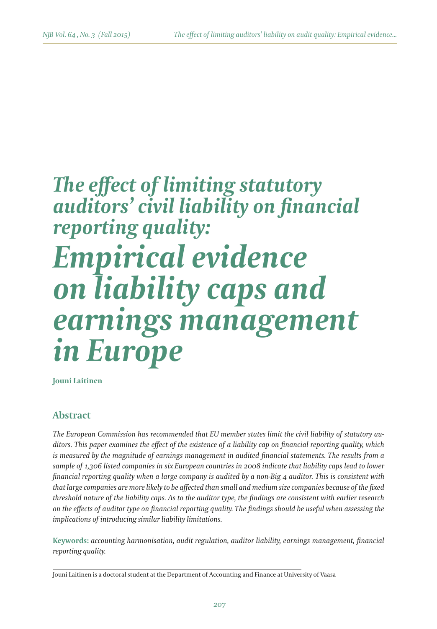# *The effect of limiting statutory auditors' civil liability on financial reporting quality: Empirical evidence on liability caps and earnings management in Europe*

**Jouni Laitinen**

## **Abstract**

*The European Commission has recommended that EU member states limit the civil liability of statutory auditors. This paper examines the effect of the existence of a liability cap on financial reporting quality, which*  is measured by the magnitude of earnings management in audited financial statements. The results from a *sample of 1,306 listed companies in six European countries in 2008 indicate that liability caps lead to lower financial reporting quality when a large company is audited by a non-Big 4 auditor. This is consistent with that large companies are more likely to be affected than small and medium size companies because of the fixed threshold nature of the liability caps. As to the auditor type, the findings are consistent with earlier research on the effects of auditor type on financial reporting quality. The findings should be useful when assessing the implications of introducing similar liability limitations.*

**Keywords:** *accounting harmonisation, audit regulation, auditor liability, earnings management, financial reporting quality.*

Jouni Laitinen is a doctoral student at the Department of Accounting and Finance at University of Vaasa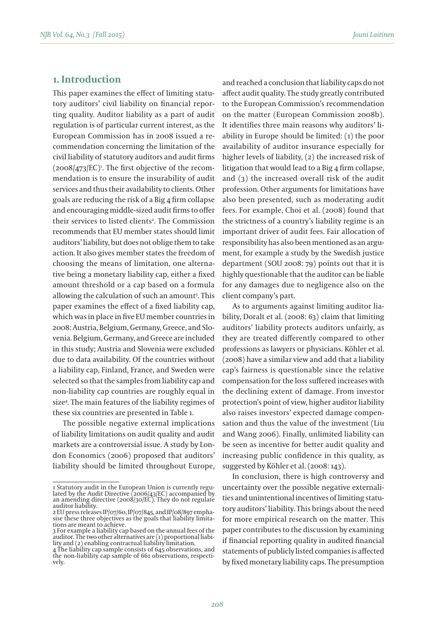## **1. Introduction**

This paper examines the effect of limiting statutory auditors' civil liability on financial reporting quality. Auditor liability as a part of audit regulation is of particular current interest, as the European Commission has in 2008 issued a recommendation concerning the limitation of the civil liability of statutory auditors and audit firms  $(2008/473/EC)$ <sup>1</sup>. The first objective of the recommendation is to ensure the insurability of audit services and thus their availability to clients. Other goals are reducing the risk of a Big 4 firm collapse and encouraging middle-sized audit firms to offer their services to listed clients<sup>2</sup>. The Commission recommends that EU member states should limit auditors' liability, but does not oblige them to take action. It also gives member states the freedom of choosing the means of limitation, one alternative being a monetary liability cap, either a fixed amount threshold or a cap based on a formula allowing the calculation of such an amount3 . This paper examines the effect of a fixed liability cap, which was in place in five EU member countries in 2008: Austria, Belgium, Germany, Greece, and Slovenia. Belgium, Germany, and Greece are included in this study; Austria and Slovenia were excluded due to data availability. Of the countries without a liability cap, Finland, France, and Sweden were selected so that the samples from liability cap and non-liability cap countries are roughly equal in size4 . The main features of the liability regimes of these six countries are presented in Table 1.

The possible negative external implications of liability limitations on audit quality and audit markets are a controversial issue. A study by London Economics (2006) proposed that auditors' liability should be limited throughout Europe, and reached a conclusion that liability caps do not affect audit quality. The study greatly contributed to the European Commission's recommendation on the matter (European Commission 2008b). It identifies three main reasons why auditors' liability in Europe should be limited: (1) the poor availability of auditor insurance especially for higher levels of liability, (2) the increased risk of litigation that would lead to a Big 4 firm collapse, and (3) the increased overall risk of the audit profession. Other arguments for limitations have also been presented, such as moderating audit fees. For example, Choi et al. (2008) found that the strictness of a country's liability regime is an important driver of audit fees. Fair allocation of responsibility has also been mentioned as an argument, for example a study by the Swedish justice department (SOU 2008: 79) points out that it is highly questionable that the auditor can be liable for any damages due to negligence also on the client company's part.

As to arguments against limiting auditor liability, Doralt et al. (2008: 63) claim that limiting auditors' liability protects auditors unfairly, as they are treated differently compared to other professions as lawyers or physicians. Köhler et al. (2008) have a similar view and add that a liability cap's fairness is questionable since the relative compensation for the loss suffered increases with the declining extent of damage. From investor protection's point of view, higher auditor liability also raises investors' expected damage compensation and thus the value of the investment (Liu and Wang 2006). Finally, unlimited liability can be seen as incentive for better audit quality and increasing public confidence in this quality, as suggested by Köhler et al. (2008: 143).

In conclusion, there is high controversy and uncertainty over the possible negative externalities and unintentional incentives of limiting statutory auditors' liability. This brings about the need for more empirical research on the matter. This paper contributes to the discussion by examining if financial reporting quality in audited financial statements of publicly listed companies is affected by fixed monetary liability caps. The presumption

<sup>1</sup> Statutory audit in the European Union is currently regu-<br>lated by the Audit Directive (2006/43/EC) accompanied by<br>an amending directive (2008/30/EC). They do not regulate<br>auditor liability.

<sup>2</sup> EU press releases IP/07/60, IP/07/845, and IP/08/897 empha-sise these three objectives as the goals that liability limitations are meant to achieve.

<sup>3</sup> For example a liability cap based on the annual fees of the auditor. The two other alternatives are (1) proportional liabi- lity and (2) enabling contractual liability limitation.

<sup>4</sup> The liability cap sample consists of 645 observations, and the non-liability cap sample of 661 observations, respecti- vely.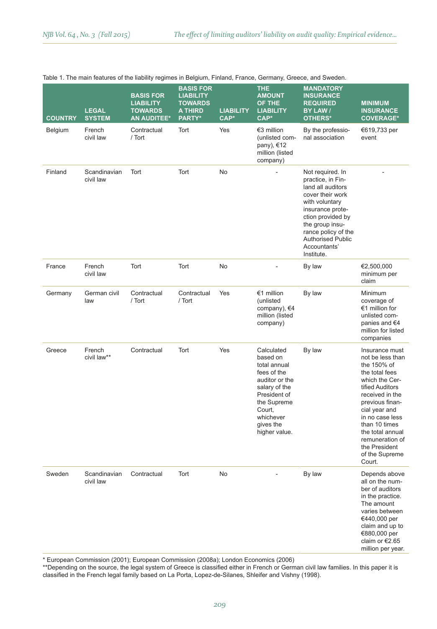|                |                               |                                                                              | ະ                                                                           |                          | <sub>.</sub> , .                                                                                                                                                             |                                                                                                                                                                                                                                               |                                                                                                                                                                                                                                                                                         |
|----------------|-------------------------------|------------------------------------------------------------------------------|-----------------------------------------------------------------------------|--------------------------|------------------------------------------------------------------------------------------------------------------------------------------------------------------------------|-----------------------------------------------------------------------------------------------------------------------------------------------------------------------------------------------------------------------------------------------|-----------------------------------------------------------------------------------------------------------------------------------------------------------------------------------------------------------------------------------------------------------------------------------------|
| <b>COUNTRY</b> | <b>LEGAL</b><br><b>SYSTEM</b> | <b>BASIS FOR</b><br><b>LIABILITY</b><br><b>TOWARDS</b><br><b>AN AUDITEE*</b> | <b>BASIS FOR</b><br><b>LIABILITY</b><br><b>TOWARDS</b><br>A THIRD<br>PARTY* | <b>LIABILITY</b><br>CAP* | <b>THE</b><br><b>AMOUNT</b><br>OF THE<br><b>LIABILITY</b><br>CAP*                                                                                                            | <b>MANDATORY</b><br><b>INSURANCE</b><br><b>REQUIRED</b><br>BY LAW /<br>OTHERS*                                                                                                                                                                | <b>MINIMUM</b><br><b>INSURANCE</b><br><b>COVERAGE*</b>                                                                                                                                                                                                                                  |
| Belgium        | French<br>civil law           | Contractual<br>/ Tort                                                        | Tort                                                                        | Yes                      | €3 million<br>(unlisted com-<br>pany), €12<br>million (listed<br>company)                                                                                                    | By the professio-<br>nal association                                                                                                                                                                                                          | €619,733 per<br>event                                                                                                                                                                                                                                                                   |
| Finland        | Scandinavian<br>civil law     | Tort                                                                         | Tort                                                                        | <b>No</b>                |                                                                                                                                                                              | Not required. In<br>practice, in Fin-<br>land all auditors<br>cover their work<br>with voluntary<br>insurance prote-<br>ction provided by<br>the group insu-<br>rance policy of the<br><b>Authorised Public</b><br>Accountants'<br>Institute. |                                                                                                                                                                                                                                                                                         |
| France         | French<br>civil law           | Tort                                                                         | Tort                                                                        | No                       |                                                                                                                                                                              | By law                                                                                                                                                                                                                                        | €2,500,000<br>minimum per<br>claim                                                                                                                                                                                                                                                      |
| Germany        | German civil<br>law           | Contractual<br>/ Tort                                                        | Contractual<br>/ Tort                                                       | Yes                      | €1 million<br>(unlisted<br>company), €4<br>million (listed<br>company)                                                                                                       | By law                                                                                                                                                                                                                                        | Minimum<br>coverage of<br>€1 million for<br>unlisted com-<br>panies and $€4$<br>million for listed<br>companies                                                                                                                                                                         |
| Greece         | French<br>civil law**         | Contractual                                                                  | Tort                                                                        | Yes                      | Calculated<br>based on<br>total annual<br>fees of the<br>auditor or the<br>salary of the<br>President of<br>the Supreme<br>Court,<br>whichever<br>gives the<br>higher value. | By law                                                                                                                                                                                                                                        | Insurance must<br>not be less than<br>the 150% of<br>the total fees<br>which the Cer-<br>tified Auditors<br>received in the<br>previous finan-<br>cial year and<br>in no case less<br>than 10 times<br>the total annual<br>remuneration of<br>the President<br>of the Supreme<br>Court. |
| Sweden         | Scandinavian<br>civil law     | Contractual                                                                  | Tort                                                                        | No                       | ٠                                                                                                                                                                            | By law                                                                                                                                                                                                                                        | Depends above<br>all on the num-<br>ber of auditors<br>in the practice.<br>The amount<br>varies between<br>€440,000 per<br>claim and up to<br>€880,000 per<br>claim or $€2.65$<br>million per year.                                                                                     |

#### Table 1. The main features of the liability regimes in Belgium, Finland, France, Germany, Greece, and Sweden.

\* European Commission (2001); European Commission (2008a); London Economics (2006)

\*\*Depending on the source, the legal system of Greece is classified either in French or German civil law families. In this paper it is classified in the French legal family based on La Porta, Lopez-de-Silanes, Shleifer and Vishny (1998).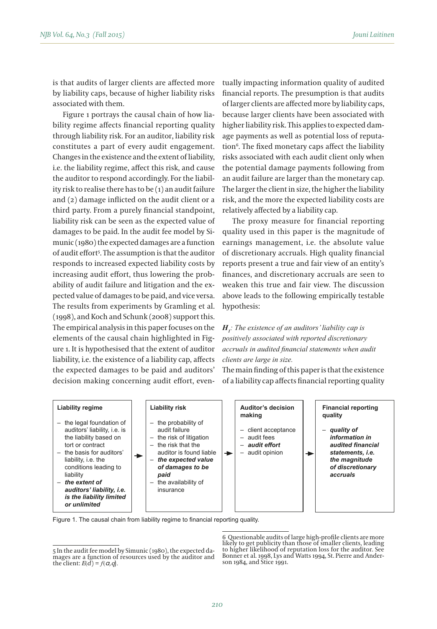is that audits of larger clients are affected more by liability caps, because of higher liability risks associated with them.

Figure 1 portrays the causal chain of how liability regime affects financial reporting quality through liability risk. For an auditor, liability risk constitutes a part of every audit engagement. Changes in the existence and the extent of liability, i.e. the liability regime, affect this risk, and cause the auditor to respond accordingly. For the liability risk to realise there has to be (1) an audit failure and (2) damage inflicted on the audit client or a third party. From a purely financial standpoint, liability risk can be seen as the expected value of damages to be paid. In the audit fee model by Simunic (1980) the expected damages are a function of audit effort5 . The assumption is that the auditor responds to increased expected liability costs by increasing audit effort, thus lowering the probability of audit failure and litigation and the expected value of damages to be paid, and vice versa. The results from experiments by Gramling et al. (1998), and Koch and Schunk (2008) support this. The empirical analysis in this paper focuses on the elements of the causal chain highlighted in Figure 1. It is hypothesised that the extent of auditor liability, i.e. the existence of a liability cap, affects the expected damages to be paid and auditors' decision making concerning audit effort, eventually impacting information quality of audited financial reports. The presumption is that audits of larger clients are affected more by liability caps, because larger clients have been associated with higher liability risk. This applies to expected damage payments as well as potential loss of reputation<sup>6</sup>. The fixed monetary caps affect the liability risks associated with each audit client only when the potential damage payments following from an audit failure are larger than the monetary cap. The larger the client in size, the higher the liability risk, and the more the expected liability costs are relatively affected by a liability cap.

The proxy measure for financial reporting quality used in this paper is the magnitude of earnings management, i.e. the absolute value of discretionary accruals. High quality financial reports present a true and fair view of an entity's finances, and discretionary accruals are seen to weaken this true and fair view. The discussion above leads to the following empirically testable hypothesis:

## *H1 : The existence of an auditors' liability cap is positively associated with reported discretionary accruals in audited financial statements when audit clients are large in size.*

The main finding of this paper is that the existence of a liability cap affects financial reporting quality

| Liability regime<br>the legal foundation of<br>-<br>auditors' liability, i.e. is<br>the liability based on<br>tort or contract<br>the basis for auditors'<br>$\overline{\phantom{0}}$<br>liability, i.e. the<br>conditions leading to<br>liability<br>the extent of<br>$\overline{\phantom{m}}$<br>auditors' liability, i.e.<br>is the liability limited<br>or unlimited | <b>Liability risk</b><br>$-$ the probability of<br>audit failure<br>- the risk of litigation<br>$-$ the risk that the<br>auditor is found liable<br>the expected value<br>$\qquad \qquad -$<br>of damages to be<br>paid<br>the availability of<br>$-$<br>insurance | Auditor's decision<br>making<br>- client acceptance<br>$-$ audit fees<br>audit effort<br>-<br>audit opinion<br>-<br>-10 | <b>Financial reporting</b><br>quality<br>- quality of<br>information in<br>audited financial<br>statements, i.e.<br>the magnitude<br>of discretionary<br>accruals |
|--------------------------------------------------------------------------------------------------------------------------------------------------------------------------------------------------------------------------------------------------------------------------------------------------------------------------------------------------------------------------|--------------------------------------------------------------------------------------------------------------------------------------------------------------------------------------------------------------------------------------------------------------------|-------------------------------------------------------------------------------------------------------------------------|-------------------------------------------------------------------------------------------------------------------------------------------------------------------|
|--------------------------------------------------------------------------------------------------------------------------------------------------------------------------------------------------------------------------------------------------------------------------------------------------------------------------------------------------------------------------|--------------------------------------------------------------------------------------------------------------------------------------------------------------------------------------------------------------------------------------------------------------------|-------------------------------------------------------------------------------------------------------------------------|-------------------------------------------------------------------------------------------------------------------------------------------------------------------|

Figure 1. The causal chain from liability regime to financial reporting quality.

6 Questionable audits of large high-profile clients are more likely to get publicity than those of smaller clients, leading to higher likelihood of reputation loss for the auditor. See Bonner et al. 1998, Lys and Watts 1994, St. Pierre and Ander- son 1984, and Stice 1991.

<sup>5</sup> In the audit fee model by Simunic (1980), the expected damages are a function of resources used by the auditor and the client:  $E(\overline{d}) = f(a,q)$ .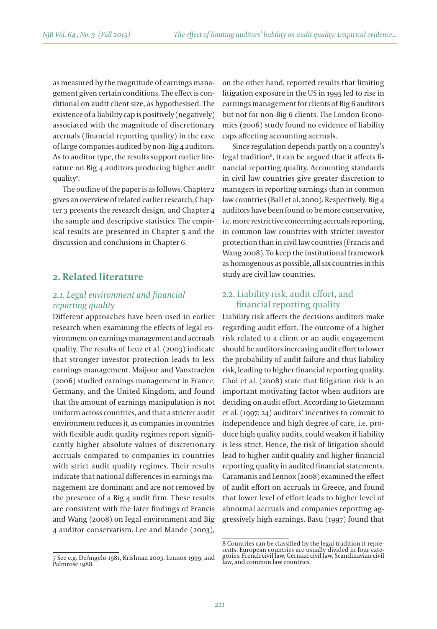as measured by the magnitude of earnings management given certain conditions. The effect is conditional on audit client size, as hypothesised. The existence of a liability cap is positively (negatively) associated with the magnitude of discretionary accruals (financial reporting quality) in the case of large companies audited by non-Big 4 auditors. As to auditor type, the results support earlier literature on Big 4 auditors producing higher audit quality7 .

The outline of the paper is as follows. Chapter 2 gives an overview of related earlier research, Chapter 3 presents the research design, and Chapter 4 the sample and descriptive statistics. The empirical results are presented in Chapter 5 and the discussion and conclusions in Chapter 6.

## **2. Related literature**

## *2.1. Legal environment and financial reporting quality*

Different approaches have been used in earlier research when examining the effects of legal environment on earnings management and accruals quality. The results of Leuz et al. (2003) indicate that stronger investor protection leads to less earnings management. Maijoor and Vanstraelen (2006) studied earnings management in France, Germany, and the United Kingdom, and found that the amount of earnings manipulation is not uniform across countries, and that a stricter audit environment reduces it, as companies in countries with flexible audit quality regimes report significantly higher absolute values of discretionary accruals compared to companies in countries with strict audit quality regimes. Their results indicate that national differences in earnings management are dominant and are not removed by the presence of a Big 4 audit firm. These results are consistent with the later findings of Francis and Wang (2008) on legal environment and Big 4 auditor conservatism. Lee and Mande (2003), on the other hand, reported results that limiting litigation exposure in the US in 1995 led to rise in earnings management for clients of Big 6 auditors but not for non-Big 6 clients. The London Economics (2006) study found no evidence of liability caps affecting accounting accruals.

Since regulation depends partly on a country's legal tradition<sup>8</sup>, it can be argued that it affects financial reporting quality. Accounting standards in civil law countries give greater discretion to managers in reporting earnings than in common law countries (Ball et al. 2000). Respectively, Big 4 auditors have been found to be more conservative, i.e. more restrictive concerning accruals reporting, in common law countries with stricter investor protection than in civil law countries (Francis and Wang 2008). To keep the institutional framework as homogenous as possible, all six countries in this study are civil law countries.

## 2.2. Liability risk, audit effort, and financial reporting quality

Liability risk affects the decisions auditors make regarding audit effort. The outcome of a higher risk related to a client or an audit engagement should be auditors increasing audit effort to lower the probability of audit failure and thus liability risk, leading to higher financial reporting quality. Choi et al. (2008) state that litigation risk is an important motivating factor when auditors are deciding on audit effort. According to Gietzmann et al. (1997: 24) auditors' incentives to commit to independence and high degree of care, i.e. produce high quality audits, could weaken if liability is less strict. Hence, the risk of litigation should lead to higher audit quality and higher financial reporting quality in audited financial statements. Caramanis and Lennox (2008) examined the effect of audit effort on accruals in Greece, and found that lower level of effort leads to higher level of abnormal accruals and companies reporting aggressively high earnings. Basu (1997) found that

<sup>7</sup> See e.g. DeAngelo 1981, Krishnan 2003, Lennox 1999, and Palmrose 1988.

<sup>8</sup> Countries can be classified by the legal tradition it repre-sents. European countries are usually divided in four cate-gories: French civil law, German civil law, Scandinavian civil law, and common law countries.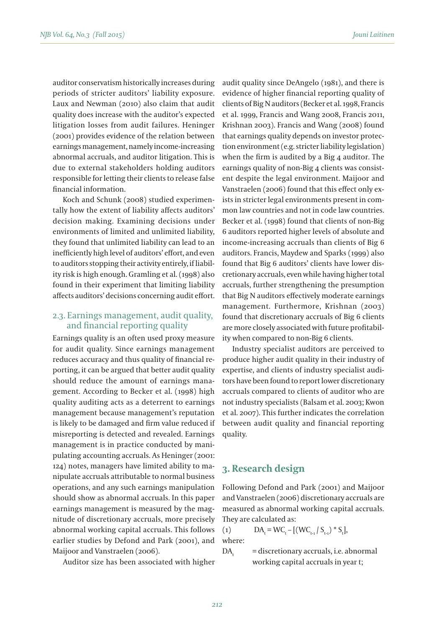auditor conservatism historically increases during periods of stricter auditors' liability exposure. Laux and Newman (2010) also claim that audit quality does increase with the auditor's expected litigation losses from audit failures. Heninger (2001) provides evidence of the relation between earnings management, namely income-increasing abnormal accruals, and auditor litigation. This is due to external stakeholders holding auditors responsible for letting their clients to release false financial information.

Koch and Schunk (2008) studied experimentally how the extent of liability affects auditors' decision making. Examining decisions under environments of limited and unlimited liability, they found that unlimited liability can lead to an inefficiently high level of auditors' effort, and even to auditors stopping their activity entirely, if liability risk is high enough. Gramling et al. (1998) also found in their experiment that limiting liability affects auditors' decisions concerning audit effort.

## 2.3. Earnings management, audit quality, and financial reporting quality

Earnings quality is an often used proxy measure for audit quality. Since earnings management reduces accuracy and thus quality of financial reporting, it can be argued that better audit quality should reduce the amount of earnings management. According to Becker et al. (1998) high quality auditing acts as a deterrent to earnings management because management's reputation is likely to be damaged and firm value reduced if misreporting is detected and revealed. Earnings management is in practice conducted by manipulating accounting accruals. As Heninger (2001: 124) notes, managers have limited ability to manipulate accruals attributable to normal business operations, and any such earnings manipulation should show as abnormal accruals. In this paper earnings management is measured by the magnitude of discretionary accruals, more precisely abnormal working capital accruals. This follows earlier studies by Defond and Park (2001), and Maijoor and Vanstraelen (2006).

Auditor size has been associated with higher

audit quality since DeAngelo (1981), and there is evidence of higher financial reporting quality of clients of Big N auditors (Becker et al. 1998, Francis et al. 1999, Francis and Wang 2008, Francis 2011, Krishnan 2003). Francis and Wang (2008) found that earnings quality depends on investor protection environment (e.g. stricter liability legislation) when the firm is audited by a Big 4 auditor. The earnings quality of non-Big 4 clients was consistent despite the legal environment. Maijoor and Vanstraelen (2006) found that this effect only exists in stricter legal environments present in common law countries and not in code law countries. Becker et al. (1998) found that clients of non-Big 6 auditors reported higher levels of absolute and income-increasing accruals than clients of Big 6 auditors. Francis, Maydew and Sparks (1999) also found that Big 6 auditors' clients have lower discretionary accruals, even while having higher total accruals, further strengthening the presumption that Big N auditors effectively moderate earnings management. Furthermore, Krishnan (2003) found that discretionary accruals of Big 6 clients are more closely associated with future profitability when compared to non-Big 6 clients.

Industry specialist auditors are perceived to produce higher audit quality in their industry of expertise, and clients of industry specialist auditors have been found to report lower discretionary accruals compared to clients of auditor who are not industry specialists (Balsam et al. 2003; Kwon et al. 2007). This further indicates the correlation between audit quality and financial reporting quality.

## **3. Research design**

Following Defond and Park (2001) and Maijoor and Vanstraelen (2006) discretionary accruals are measured as abnormal working capital accruals. They are calculated as:

(1)  $DA_t = WC_t - [(WC_{t-1} / S_{t-1}) * S_t],$ where:

 $DA =$  discretionary accruals, i.e. abnormal working capital accruals in year t;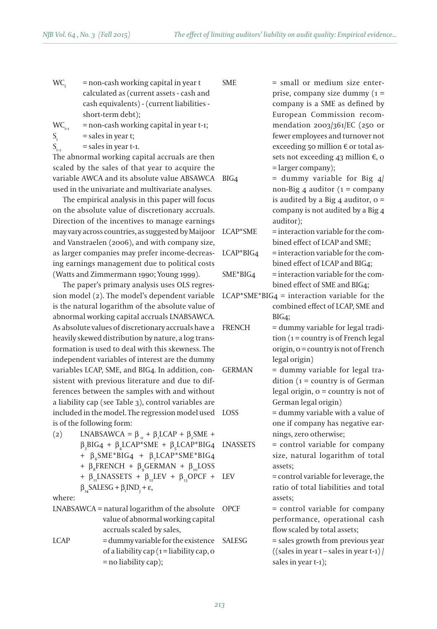- $WC<sub>i</sub>$  = non-cash working capital in year t calculated as (current assets - cash and cash equivalents) - (current liabilities short-term debt);
- $WC_{11}$  = non-cash working capital in year t-1;

 $S_t$  = sales in year t;

 $S_{t-1}$  = sales in year t-1.

The abnormal working capital accruals are then scaled by the sales of that year to acquire the variable AWCA and its absolute value ABSAWCA used in the univariate and multivariate analyses.

The empirical analysis in this paper will focus on the absolute value of discretionary accruals. Direction of the incentives to manage earnings may vary across countries, as suggested by Maijoor and Vanstraelen (2006), and with company size, as larger companies may prefer income-decreasing earnings management due to political costs (Watts and Zimmermann 1990; Young 1999).

The paper's primary analysis uses OLS regression model (2). The model's dependent variable is the natural logarithm of the absolute value of abnormal working capital accruals LNABSAWCA. As absolute values of discretionary accruals have a heavily skewed distribution by nature, a log transformation is used to deal with this skewness. The independent variables of interest are the dummy variables LCAP, SME, and BIG4. In addition, consistent with previous literature and due to differences between the samples with and without a liability cap (see Table 3), control variables are included in the model. The regression model used is of the following form:

- (2) LNABSAWCA =  $\beta_0 + \beta_1 LCAP + \beta_2 SME +$  $\beta_3$ BIG4 +  $\beta_4$ LCAP\*SME +  $\beta_5$ LCAP\*BIG4 +  $β<sub>6</sub> SME*BIG4$  +  $β<sub>7</sub> LCAP*SME*BIG4$ +  $\beta_s$ FRENCH +  $\beta_s$ GERMAN +  $\beta_{10}$ LOSS +  $\beta_{11}$ LNASSETS +  $\beta_{12}$ LEV +  $\beta_{13}$ OPCF +  $\beta_{14}$ SALESG +  $\beta_i$ IND<sub>j</sub> + ε, where:
- LNABSAWCA = natural logarithm of the absolute value of abnormal working capital accruals scaled by sales,  $LCAP$  = dummy variable for the existence of a liability cap  $(1 =$ liability cap, o = no liability cap);

SME = small or medium size enterprise, company size dummy  $(1 =$ company is a SME as defined by European Commission recommendation 2003/361/EC (250 or fewer employees and turnover not exceeding 50 million € or total assets not exceeding 43 million €, 0 = larger company);

 $BIG4$  = dummy variable for Big 4/ non-Big 4 auditor ( $1 = \text{company}$ is audited by a Big  $4$  auditor, o = company is not audited by a Big 4 auditor);

- $LCAP*SME = interaction variable for the com-  
12.$ bined effect of LCAP and SME;
- $LCAP*BIG_4$  = interaction variable for the combined effect of LCAP and BIG4;  $SME*BIG4$  = interaction variable for the combined effect of SME and BIG4;
- $LCAP*SME*BIG4 = interaction variable for the$ combined effect of LCAP, SME and BIG4;
- FRENCH = dummy variable for legal tradition  $(1 = \text{country} \text{ is of French legal})$ origin, 0 = country is not of French legal origin)

GERMAN = dummy variable for legal tradition  $(1 = \text{country} \text{ is of German})$ legal origin,  $o =$  country is not of German legal origin)

LOSS = dummy variable with a value of one if company has negative earnings, zero otherwise;

LNASSETS = control variable for company size, natural logarithm of total assets;

LEV = control variable for leverage, the ratio of total liabilities and total assets;

OPCF = control variable for company performance, operational cash flow scaled by total assets;

SALESG = sales growth from previous year  $((\text{sales in year t - sales in year t-1}))$ sales in year t-1);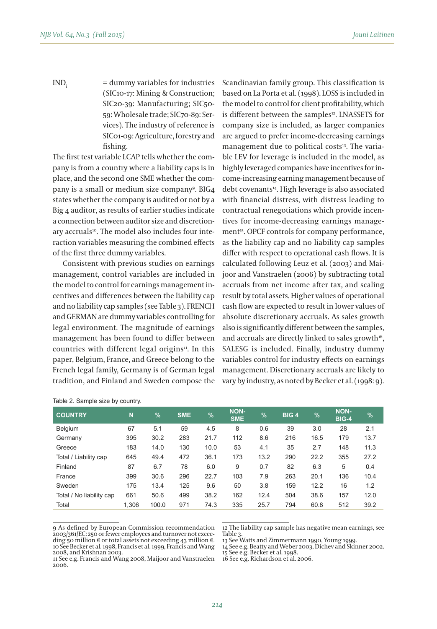$IND<sub>i</sub> = dummy variables for industries$ (SIC10-17: Mining & Construction; SIC20-39: Manufacturing; SIC50- 59: Wholesale trade; SIC70-89: Services). The industry of reference is SIC01-09: Agriculture, forestry and fishing.

The first test variable LCAP tells whether the company is from a country where a liability caps is in place, and the second one SME whether the company is a small or medium size company9 . BIG4 states whether the company is audited or not by a Big 4 auditor, as results of earlier studies indicate a connection between auditor size and discretionarv accruals<sup>10</sup>. The model also includes four interaction variables measuring the combined effects of the first three dummy variables.

Consistent with previous studies on earnings management, control variables are included in the model to control for earnings management incentives and differences between the liability cap and no liability cap samples (see Table 3). FRENCH and GERMAN are dummy variables controlling for legal environment. The magnitude of earnings management has been found to differ between countries with different legal origins<sup>11</sup>. In this paper, Belgium, France, and Greece belong to the French legal family, Germany is of German legal tradition, and Finland and Sweden compose the Scandinavian family group. This classification is based on La Porta et al. (1998). LOSS is included in the model to control for client profitability, which is different between the samples<sup>12</sup>. LNASSETS for company size is included, as larger companies are argued to prefer income-decreasing earnings management due to political costs<sup>13</sup>. The variable LEV for leverage is included in the model, as highly leveraged companies have incentives for income-increasing earning management because of debt covenants<sup>14</sup>. High leverage is also associated with financial distress, with distress leading to contractual renegotiations which provide incentives for income-decreasing earnings management<sup>15</sup>. OPCF controls for company performance, as the liability cap and no liability cap samples differ with respect to operational cash flows. It is calculated following Leuz et al. (2003) and Maijoor and Vanstraelen (2006) by subtracting total accruals from net income after tax, and scaling result by total assets. Higher values of operational cash flow are expected to result in lower values of absolute discretionary accruals. As sales growth also is significantly different between the samples, and accruals are directly linked to sales growth<sup>16</sup>, SALESG is included. Finally, industry dummy variables control for industry effects on earnings management. Discretionary accruals are likely to vary by industry, as noted by Becker et al. (1998: 9).

| <b>COUNTRY</b>           | N     | $\frac{9}{6}$ | <b>SME</b> | $\frac{9}{6}$ | <b>NON-</b><br><b>SME</b> | $\frac{9}{6}$ | BIG <sub>4</sub> | %    | NON-<br><b>BIG-4</b> | %    |
|--------------------------|-------|---------------|------------|---------------|---------------------------|---------------|------------------|------|----------------------|------|
| Belgium                  | 67    | 5.1           | 59         | 4.5           | 8                         | 0.6           | 39               | 3.0  | 28                   | 2.1  |
| Germany                  | 395   | 30.2          | 283        | 21.7          | 112                       | 8.6           | 216              | 16.5 | 179                  | 13.7 |
| Greece                   | 183   | 14.0          | 130        | 10.0          | 53                        | 4.1           | 35               | 2.7  | 148                  | 11.3 |
| Total / Liability cap    | 645   | 49.4          | 472        | 36.1          | 173                       | 13.2          | 290              | 22.2 | 355                  | 27.2 |
| Finland                  | 87    | 6.7           | 78         | 6.0           | 9                         | 0.7           | 82               | 6.3  | 5                    | 0.4  |
| France                   | 399   | 30.6          | 296        | 22.7          | 103                       | 7.9           | 263              | 20.1 | 136                  | 10.4 |
| Sweden                   | 175   | 13.4          | 125        | 9.6           | 50                        | 3.8           | 159              | 12.2 | 16                   | 1.2  |
| Total / No liability cap | 661   | 50.6          | 499        | 38.2          | 162                       | 12.4          | 504              | 38.6 | 157                  | 12.0 |
| Total                    | 1.306 | 100.0         | 971        | 74.3          | 335                       | 25.7          | 794              | 60.8 | 512                  | 39.2 |

Table 2. Sample size by country.

9 As defined by European Commission recommendation 2003/361/EC: 250 or fewer employees and turnover not exceeding 50 million  $\epsilon$  or total assets not exceeding 43 million  $\epsilon$ . 10 See Becker et al. 1998, Francis et al. 1999, Francis and Wang 2008, and Krishnan 2003.

12 The liability cap sample has negative mean earnings, see Table 3.

15 See e.g. Becker et al. 1998.

16 See e.g. Richardson et al. 2006.

<sup>13</sup> See Watts and Zimmermann 1990, Young 1999.

<sup>14</sup> See e.g. Beatty and Weber 2003, Dichev and Skinner 2002.

<sup>11</sup> See e.g. Francis and Wang 2008, Maijoor and Vanstraelen 2006.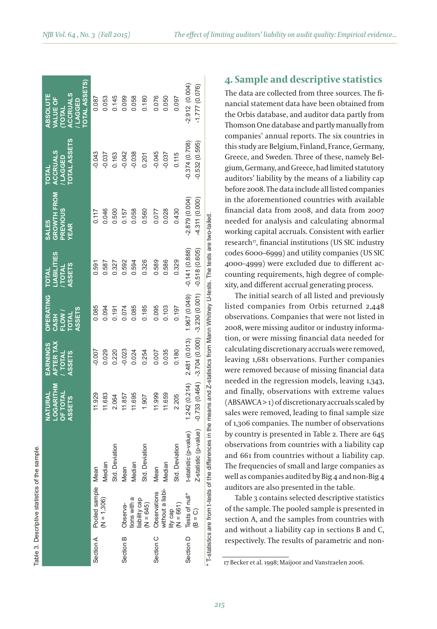|           | Table 3. Descriptive statistics of the sample. |                                                                                                                                       |                                                          |                                                           |                                                                     |                                                                    |                                                               |                                                         |                                                                                                        |
|-----------|------------------------------------------------|---------------------------------------------------------------------------------------------------------------------------------------|----------------------------------------------------------|-----------------------------------------------------------|---------------------------------------------------------------------|--------------------------------------------------------------------|---------------------------------------------------------------|---------------------------------------------------------|--------------------------------------------------------------------------------------------------------|
|           |                                                |                                                                                                                                       | LOGARITHM<br><b>OF TOTAL</b><br>NATURAL<br><b>ASSETS</b> | AFTER TAX<br>EARNINGS<br><b>TOTAL</b><br><b>ASSETS</b>    | <b>OPERATING</b><br><b>ASSETS</b><br>FLOW /<br><b>TOTAL</b><br>CASH | <b>LIABILITIES</b><br><b>ASSETS</b><br><b>TOTAL</b><br><b>NTQ1</b> | GROWTH FROM<br><b>PREVIOUS</b><br><b>SALES</b><br><b>YEAR</b> | TOTAL ASSETS<br><b>ACCRUALS</b><br>LAGGED<br><b>IAI</b> | <b>TOTAL ASSETS</b><br><b>ACCRUALS</b><br><b>ABSOLUTE</b><br>VALUE OF<br><b>LAGGED</b><br><b>TOTAL</b> |
|           | Section A Pooled sample Mean                   |                                                                                                                                       | 11.929                                                   | $-0.007$                                                  | 0.085                                                               | 0.591                                                              | 0.117                                                         | $-0.043$                                                | 0.087                                                                                                  |
|           | $(N = 1,306)$                                  | Median                                                                                                                                | 11.683                                                   | 0.029                                                     | 0.094                                                               | 0.587                                                              | 0.046                                                         | $-0.037$                                                | 0.053                                                                                                  |
|           |                                                | Std. Deviation                                                                                                                        | 2.064                                                    | 0.220                                                     | 0.191                                                               | 0.327                                                              | 0.500                                                         | 0.163                                                   | 0.145                                                                                                  |
| Section B | Observa-                                       | Mean                                                                                                                                  | 11.857                                                   | $-0.023$                                                  | 0.074                                                               | 0.592                                                              | 0.157                                                         | $-0.042$                                                | 0.099                                                                                                  |
|           | tions with a                                   | Median                                                                                                                                | 11.695                                                   | 0.024                                                     | 0.085                                                               | 0.594                                                              | 0.058                                                         | $-0.038$                                                | 0.058                                                                                                  |
|           | liability cap<br>$(N = 645)$                   | Std. Deviation                                                                                                                        | 1.907                                                    | 0.254                                                     | 0.185                                                               | 0.326                                                              | 0.560                                                         | 0.201                                                   | 0.180                                                                                                  |
|           | Section C Observations                         | Mean                                                                                                                                  | 11.999                                                   | 0.007                                                     | 0.095                                                               | 0.589                                                              | 0.077                                                         | $-0.045$                                                | 0.076                                                                                                  |
|           | without a liabi-                               | Median                                                                                                                                | 11.659                                                   | 0.035                                                     | 0.103                                                               | 0.586                                                              | 0.028                                                         | $-0.037$                                                | 0.050                                                                                                  |
|           | $(N = 661)$<br>lity cap                        | Std. Deviation                                                                                                                        | 2.205                                                    | 0.180                                                     | 0.197                                                               | 0.329                                                              | 0.430                                                         | 0.115                                                   | 0.097                                                                                                  |
|           | Section D Tests of null*                       | t-statistic (p-value)                                                                                                                 | 1.242(0.214)                                             | 2.481 (0.013)                                             | 1.967 (0.049)                                                       | $-0.141(0.888)$                                                    | $-2.879(0.004)$                                               | $-0.374(0.708)$                                         | $-2.912(0.004)$                                                                                        |
|           | $(B = C)$                                      | Z-statistic (p-value)                                                                                                                 |                                                          | $-0.733(0.464) -3.704(0.000) -3.230(0.001) -0.518(0.605)$ |                                                                     |                                                                    | 4.311 (0.000)                                                 | $-0.532(0.595)$                                         | $-1.777(0.076)$                                                                                        |
|           |                                                | * T-statistics are from t-tests of the differences in the means and Z-statistics from Mann Whitney U-tests. The tests are two-tailed. |                                                          |                                                           |                                                                     |                                                                    |                                                               |                                                         |                                                                                                        |

Table 3. Descriptive statistics of the sample.

## **4. Sample and descriptive statistics**

The data are collected from three sources. The financial statement data have been obtained from the Orbis database, and auditor data partly from Thomson One database and partly manually from companies' annual reports. The six countries in this study are Belgium, Finland, France, Germany, Greece, and Sweden. Three of these, namely Belgium, Germany, and Greece, had limited statutory auditors' liability by the means of a liability cap before 2008. The data include all listed companies in the aforementioned countries with available financial data from 2008, and data from 2007 needed for analysis and calculating abnormal working capital accruals. Consistent with earlier research<sup>17</sup>, financial institutions (US SIC industry codes 6000–6999) and utility companies (US SIC 4000–4999) were excluded due to different accounting requirements, high degree of complexity, and different accrual generating process.

The initial search of all listed and previously listed companies from Orbis returned 2,448 observations. Companies that were not listed in 2008, were missing auditor or industry information, or were missing financial data needed for calculating discretionary accruals were removed, leaving 1,681 observations. Further companies were removed because of missing financial data needed in the regression models, leaving 1,343, and finally, observations with extreme values (ABSAWCA > 1) of discretionary accruals scaled by sales were removed, leading to final sample size of 1,306 companies. The number of observations by country is presented in Table 2. There are 645 observations from countries with a liability cap and 661 from countries without a liability cap. The frequencies of small and large companies as well as companies audited by Big 4 and non-Big 4 auditors are also presented in the table.

Table 3 contains selected descriptive statistics of the sample. The pooled sample is presented in section A, and the samples from countries with and without a liability cap in sections B and C, respectively. The results of parametric and non-

 <sup>17</sup> Becker et al. 1998; Maijoor and Vanstraelen 2006.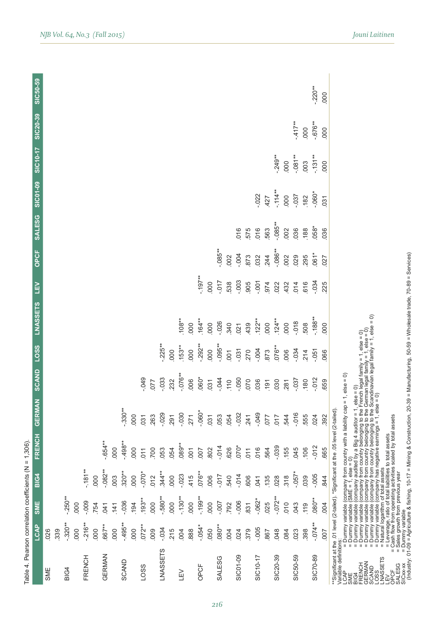| LCAP                                  | .026<br>SME | 339 | $-320**$<br><b>BIG4</b> | .000 | $-216**$<br>FRENCH | 000 | $.667**$<br>GERMAN | .000 | $-495**$<br>SCAND | 000 | $.072***$<br>LOSS | 000 | $-0.34$<br><b>LNASSETS</b> | 215 | .004<br>ΠEΛ | .888 | $-0.54*$<br>OPCF | .050 | $.080**$<br><b>SALESG</b> | 004  | 024<br>SIC01-09 | 379 | $-0.005$<br>SIC10-17 | 867        | 048<br>SIC20-39 | .084 | .023<br>SIC50-59 | 398  | $-0.074**$<br>SIC70-89 | 007  | CAP<br>CAP — Diumny variable (company from country with a liability cap = 1, else = 0)<br>10.4 = Diumny variable (company from country belonging to the French legal family = 1, else = 0)<br>RENCIA<br>= Diumny variable (company fro<br>**Significant at the .01 level (2-tailed), *Significant at the .01 level (2-tailed), *Significant a<br>LCAP = = Dummy variable (company from c<br>SME = = Dummy variable (SME = 1, else =<br>FRENCH = Dummy variable (company from c<br>OPCF<br>SALESG<br>SALESG<br>SICX+X |
|---------------------------------------|-------------|-----|-------------------------|------|--------------------|-----|--------------------|------|-------------------|-----|-------------------|-----|----------------------------|-----|-------------|------|------------------|------|---------------------------|------|-----------------|-----|----------------------|------------|-----------------|------|------------------|------|------------------------|------|----------------------------------------------------------------------------------------------------------------------------------------------------------------------------------------------------------------------------------------------------------------------------------------------------------------------------------------------------------------------------------------------------------------------------------------------------------------------------------------------------------------------|
| <b>SME</b>                            |             |     | $-250**$                | 000  | $-0.009$           | 754 | 041                | 141  | $-036$            | 194 | $.193**$          | 000 | $-0.580**$                 | 000 | $-130**$    | 000  | $-199**$         | .000 | $-00$                     | 792  | $-0.006$        | 831 | $-0.062*$            | 025        | $-0.072**$      | 010  | 043              | 119  | $080**$                | .004 |                                                                                                                                                                                                                                                                                                                                                                                                                                                                                                                      |
| <b>BIG4</b>                           |             |     |                         |      | $-181**$           | 000 | $-0.082$ *         | .003 | $.320**$          | 000 | $-070*$           | 012 | $.344**$                   | 000 | $-023$      | 415  | $.076**$         | .006 | $-0.07$                   | 540  | $-014$          | 606 | 041                  | .135       | .028            | 318  | $-0.57*$         | 039  | $-0.005$               | .844 |                                                                                                                                                                                                                                                                                                                                                                                                                                                                                                                      |
|                                       |             |     |                         |      |                    |     | $-.654**$          | 000  | $-498**$          | 000 | 011               | 700 | 053                        | 054 | 089**       | 001  | 007              | 802  | $-014$                    | 626  | $070*$          | 011 | 016                  | 564        | $-0.39$         | .155 | 045              | .106 | $-012$                 | .665 | = Mining & Construction, 20-39 = Manufacturing, 50-59 = Wholesale trade, 70-89 = Services)<br>t at the .05 level (2-tailed)                                                                                                                                                                                                                                                                                                                                                                                          |
|                                       |             |     |                         |      |                    |     |                    |      | $-330**$          | 000 | 031               | 263 | $-029$                     | 291 | 030         | 271  | $-060*$          | 031  | .053                      | .054 | $-0.32$         | 241 | $-0.049$             | <b>LLO</b> | 710             | 544  | $-016$           | 555  | .024                   | 392  |                                                                                                                                                                                                                                                                                                                                                                                                                                                                                                                      |
|                                       |             |     |                         |      |                    |     |                    |      |                   |     | 049               | 077 | .033                       | 232 | $.076**$    | 006  | 060*             | 031  | $-044$                    | 110  | 050             | 070 | 036                  | 191        | 030             | 281  | $-0.37$          | 180  | .012                   | 659  |                                                                                                                                                                                                                                                                                                                                                                                                                                                                                                                      |
|                                       |             |     |                         |      |                    |     |                    |      |                   |     |                   |     | $-225**$                   | 000 | $153**$     | 000  | $.292**$         | 000  | $-095**$                  | 001  | .031            | 270 | $-004$               | 873        | $.076**$        | 006  | $-0.34$          | 214  | $-0.51$                | .066 |                                                                                                                                                                                                                                                                                                                                                                                                                                                                                                                      |
| FRENCH GERMAN SCAND LOSS LNASSETS LEV |             |     |                         |      |                    |     |                    |      |                   |     |                   |     |                            |     | $.108**$    | 000  | $.164***$        | 000  | $-026$                    | 340  | 021             | 439 | $122**$              | 000        | $.124**$        | 000  | $-018$           | 508  | $-188**$               | 000  |                                                                                                                                                                                                                                                                                                                                                                                                                                                                                                                      |
|                                       |             |     |                         |      |                    |     |                    |      |                   |     |                   |     |                            |     |             |      | $-197**$         | 000  | $-0.07$                   | 538  | .003            | 905 | $-0.001$             | 974        | 022             | 432  | 014              | 616  | $-0.34$                | 225  |                                                                                                                                                                                                                                                                                                                                                                                                                                                                                                                      |
| OPCF                                  |             |     |                         |      |                    |     |                    |      |                   |     |                   |     |                            |     |             |      |                  |      | $.085**$                  | 002  | .004            | 873 | 032                  | 244        | $-086**$        | 002  | 029              | 295  | $061*$                 | 027  |                                                                                                                                                                                                                                                                                                                                                                                                                                                                                                                      |
| <b>SALESG</b>                         |             |     |                         |      |                    |     |                    |      |                   |     |                   |     |                            |     |             |      |                  |      |                           |      | 016             | 575 | 016                  | 563        | $-085***$       | 002  | 036              | .188 | $.058*$                | 036  |                                                                                                                                                                                                                                                                                                                                                                                                                                                                                                                      |
| SIC01-09                              |             |     |                         |      |                    |     |                    |      |                   |     |                   |     |                            |     |             |      |                  |      |                           |      |                 |     | $-022$               | 427        | $-114**$        | 000  | $-0.037$         | .182 | $-060*$                | 031  |                                                                                                                                                                                                                                                                                                                                                                                                                                                                                                                      |
|                                       |             |     |                         |      |                    |     |                    |      |                   |     |                   |     |                            |     |             |      |                  |      |                           |      |                 |     |                      |            | $-249**$        | 000  | $-0.081**$       | .003 | $-131**$               | 000  |                                                                                                                                                                                                                                                                                                                                                                                                                                                                                                                      |
| SIC10-17 SIC20-39                     |             |     |                         |      |                    |     |                    |      |                   |     |                   |     |                            |     |             |      |                  |      |                           |      |                 |     |                      |            |                 |      | $-417**$         | 000  | $-676**$               | 000  |                                                                                                                                                                                                                                                                                                                                                                                                                                                                                                                      |
| SIC50-59                              |             |     |                         |      |                    |     |                    |      |                   |     |                   |     |                            |     |             |      |                  |      |                           |      |                 |     |                      |            |                 |      |                  |      | $-220**$               | 000  |                                                                                                                                                                                                                                                                                                                                                                                                                                                                                                                      |

Table 4. Pearson correlation coefficients (N = 1,306). Table 4. Pearson correlation coefficients (N = 1,306).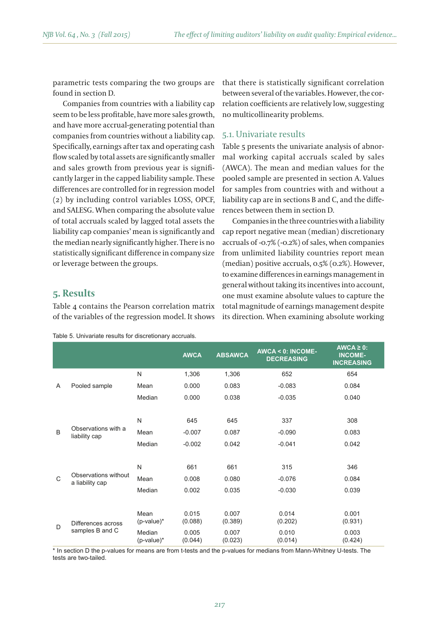parametric tests comparing the two groups are found in section D.

Companies from countries with a liability cap seem to be less profitable, have more sales growth, and have more accrual-generating potential than companies from countries without a liability cap. Specifically, earnings after tax and operating cash flow scaled by total assets are significantly smaller and sales growth from previous year is significantly larger in the capped liability sample. These differences are controlled for in regression model (2) by including control variables LOSS, OPCF, and SALESG. When comparing the absolute value of total accruals scaled by lagged total assets the liability cap companies' mean is significantly and the median nearly significantly higher. There is no statistically significant difference in company size or leverage between the groups.

## **5. Results**

Table 4 contains the Pearson correlation matrix of the variables of the regression model. It shows

|  |  | Table 5. Univariate results for discretionary accruals. |  |
|--|--|---------------------------------------------------------|--|
|--|--|---------------------------------------------------------|--|

that there is statistically significant correlation between several of the variables. However, the correlation coefficients are relatively low, suggesting no multicollinearity problems.

#### 5.1. Univariate results

Table 5 presents the univariate analysis of abnormal working capital accruals scaled by sales (AWCA). The mean and median values for the pooled sample are presented in section A. Values for samples from countries with and without a liability cap are in sections B and C, and the differences between them in section D.

Companies in the three countries with a liability cap report negative mean (median) discretionary accruals of -0.7% (-0.2%) of sales, when companies from unlimited liability countries report mean (median) positive accruals, 0.5% (0.2%). However, to examine differences in earnings management in general without taking its incentives into account, one must examine absolute values to capture the total magnitude of earnings management despite its direction. When examining absolute working

|                    |                                                                                                    | <b>AWCA</b>                    | <b>ABSAWCA</b>     | $AWCA < 0$ : INCOME-<br><b>DECREASING</b> | $AWCA \geq 0$ :<br><b>INCOME-</b><br><b>INCREASING</b> |
|--------------------|----------------------------------------------------------------------------------------------------|--------------------------------|--------------------|-------------------------------------------|--------------------------------------------------------|
|                    | N                                                                                                  | 1,306                          | 1,306              | 652                                       | 654                                                    |
| Pooled sample      | Mean                                                                                               | 0.000                          | 0.083              | $-0.083$                                  | 0.084                                                  |
|                    | Median                                                                                             | 0.000                          | 0.038              | $-0.035$                                  | 0.040                                                  |
|                    |                                                                                                    |                                |                    |                                           |                                                        |
|                    | N                                                                                                  | 645                            | 645                | 337                                       | 308                                                    |
|                    | Mean                                                                                               | $-0.007$                       | 0.087              | $-0.090$                                  | 0.083                                                  |
|                    | Median                                                                                             | $-0.002$                       | 0.042              | $-0.041$                                  | 0.042                                                  |
|                    |                                                                                                    |                                |                    |                                           |                                                        |
|                    | N                                                                                                  | 661                            | 661                | 315                                       | 346                                                    |
|                    | Mean                                                                                               | 0.008                          | 0.080              | $-0.076$                                  | 0.084                                                  |
|                    | Median                                                                                             | 0.002                          | 0.035              | $-0.030$                                  | 0.039                                                  |
|                    |                                                                                                    |                                |                    |                                           |                                                        |
|                    | Mean                                                                                               | 0.015                          | 0.007              | 0.014                                     | 0.001                                                  |
| Differences across |                                                                                                    |                                |                    |                                           | (0.931)                                                |
|                    | Median                                                                                             | 0.005                          | 0.007              | 0.010                                     | 0.003<br>(0.424)                                       |
|                    | Observations with a<br>liability cap<br>Observations without<br>a liability cap<br>samples B and C | $(p-value)^*$<br>$(p-value)^*$ | (0.088)<br>(0.044) | (0.389)<br>(0.023)                        | (0.202)<br>(0.014)                                     |

\* In section D the p-values for means are from t-tests and the p-values for medians from Mann-Whitney U-tests. The tests are two-tailed.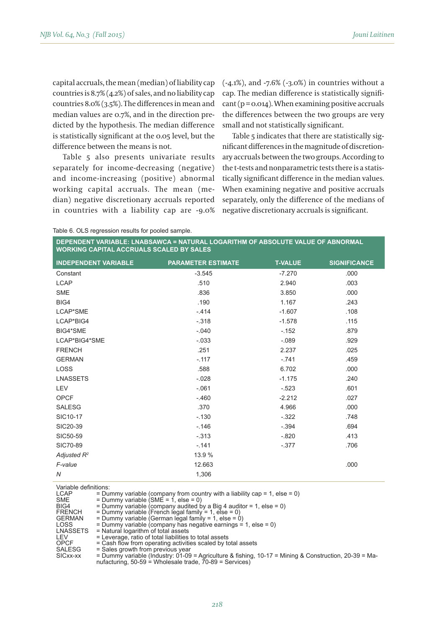capital accruals, the mean (median) of liability cap countries is 8.7% (4.2%) of sales, and no liability cap countries 8.0% (3.5%). The differences in mean and median values are 0.7%, and in the direction predicted by the hypothesis. The median difference is statistically significant at the 0.05 level, but the difference between the means is not.

Table 5 also presents univariate results separately for income-decreasing (negative) and income-increasing (positive) abnormal working capital accruals. The mean (median) negative discretionary accruals reported in countries with a liability cap are -9.0% (-4.1%), and -7.6% (-3.0%) in countries without a cap. The median difference is statistically signifi- $\text{cant}$  ( $\text{p} = \text{o} \cdot \text{o} \cdot \text{14}$ ). When examining positive accruals the differences between the two groups are very small and not statistically significant.

Table 5 indicates that there are statistically significant differences in the magnitude of discretionary accruals between the two groups. According to the t-tests and nonparametric tests there is a statistically significant difference in the median values. When examining negative and positive accruals separately, only the difference of the medians of negative discretionary accruals is significant.

Table 6. OLS regression results for pooled sample.

**DEPENDENT VARIABLE: LNABSAWCA = NATURAL LOGARITHM OF ABSOLUTE VALUE OF ABNORMAL WORKING CAPITAL ACCRUALS SCALED BY SALES**

| <b>INDEPENDENT VARIABLE</b> | <b>PARAMETER ESTIMATE</b> | <b>T-VALUE</b> | <b>SIGNIFICANCE</b> |
|-----------------------------|---------------------------|----------------|---------------------|
| Constant                    | $-3.545$                  | $-7.270$       | .000                |
| LCAP                        | .510                      | 2.940          | .003                |
| <b>SME</b>                  | .836                      | 3.850          | .000                |
| BIG4                        | .190                      | 1.167          | .243                |
| LCAP*SME                    | $-.414$                   | $-1.607$       | .108                |
| LCAP*BIG4                   | $-.318$                   | $-1.578$       | .115                |
| BIG4*SME                    | $-.040$                   | $-.152$        | .879                |
| LCAP*BIG4*SME               | $-.033$                   | $-.089$        | .929                |
| <b>FRENCH</b>               | .251                      | 2.237          | .025                |
| <b>GERMAN</b>               | $-.117$                   | $-.741$        | .459                |
| <b>LOSS</b>                 | .588                      | 6.702          | .000                |
| <b>LNASSETS</b>             | $-.028$                   | $-1.175$       | .240                |
| LEV                         | $-.061$                   | $-.523$        | .601                |
| <b>OPCF</b>                 | $-.460$                   | $-2.212$       | .027                |
| <b>SALESG</b>               | .370                      | 4.966          | .000                |
| SIC10-17                    | $-.130$                   | $-.322$        | .748                |
| SIC20-39                    | $-.146$                   | $-.394$        | .694                |
| SIC50-59                    | $-.313$                   | $-.820$        | .413                |
| SIC70-89                    | $-.141$                   | $-.377$        | .706                |
| Adjusted $R^2$              | 13.9 %                    |                |                     |
| F-value                     | 12.663                    |                | .000                |
| $\overline{N}$              | 1,306                     |                |                     |

Variable definitions:<br> $CAP = D \cdot R$ 

LCAP = Dummy variable (company from country with a liability cap = 1, else = 0)<br>SME = Dummy variable (SME = 1, else = 0)

 $SME = Dummy variable (SME = 1, else = 0)$ <br>BIG4 = Dummy variable (company audited b

BIG4 = Dummy variable (company audited by a Big 4 auditor = 1, else = 0) FRENCH = Dummy variable (French legal family = 1, else = 0) GERMAN = Dummy variable (German legal family = 1, else = 0)

- 
- 
- LOSS = Dummy variable (company has negative earnings = 1, else = 0) LNASSETS = Natural logarithm of total assets

- LEV = Leverage, ratio of total liabilities to total assets<br>OPCF = Cash flow from operating activities scaled by to
- OPCF  $=$  Cash flow from operating activities scaled by total assets<br>SALESG  $=$  Sales growth from previous year

SALESG = Sales growth from previous year<br>SICxx-xx = Dummy variable (Industry: 01-09 = Agriculture & fishing, 10-17 = Mining & Construction, 20-39 = Ma-<br>nufacturing, 50-59 = Wholesale trade, 70-89 = Services)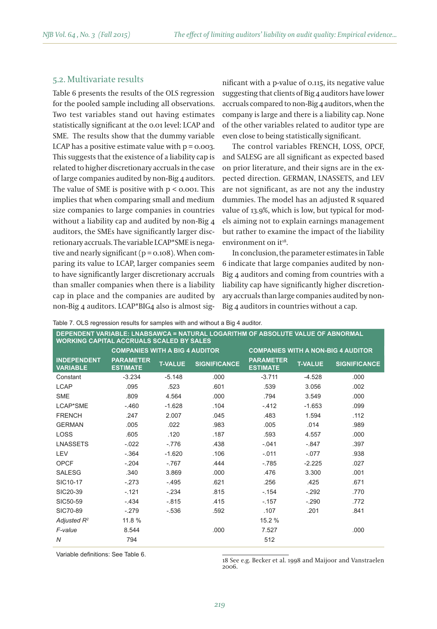#### 5.2. Multivariate results

Table 6 presents the results of the OLS regression for the pooled sample including all observations. Two test variables stand out having estimates statistically significant at the 0.01 level: LCAP and SME. The results show that the dummy variable LCAP has a positive estimate value with  $p = 0.003$ . This suggests that the existence of a liability cap is related to higher discretionary accruals in the case of large companies audited by non-Big 4 auditors. The value of SME is positive with  $p < 0.001$ . This implies that when comparing small and medium size companies to large companies in countries without a liability cap and audited by non-Big 4 auditors, the SMEs have significantly larger discretionary accruals. The variable LCAP\*SME is negative and nearly significant ( $p = 0.108$ ). When comparing its value to LCAP, larger companies seem to have significantly larger discretionary accruals than smaller companies when there is a liability cap in place and the companies are audited by non-Big 4 auditors. LCAP\*BIG4 also is almost significant with a p-value of 0.115, its negative value suggesting that clients of Big 4 auditors have lower accruals compared to non-Big 4 auditors, when the company is large and there is a liability cap. None of the other variables related to auditor type are even close to being statistically significant.

The control variables FRENCH, LOSS, OPCF, and SALESG are all significant as expected based on prior literature, and their signs are in the expected direction. GERMAN, LNASSETS, and LEV are not significant, as are not any the industry dummies. The model has an adjusted R squared value of 13.9%, which is low, but typical for models aiming not to explain earnings management but rather to examine the impact of the liability environment on it<sup>18</sup>.

In conclusion, the parameter estimates in Table 6 indicate that large companies audited by non-Big 4 auditors and coming from countries with a liability cap have significantly higher discretionary accruals than large companies audited by non-Big 4 auditors in countries without a cap.

|  |  |  | Table 7. OLS regression results for samples with and without a Big 4 auditor. |
|--|--|--|-------------------------------------------------------------------------------|
|  |  |  |                                                                               |

| <b>WORKING CAPITAL ACCRUALS SCALED BY SALES</b> |                                       |                | DEPENDENT VARIABLE: LNABSAWCA = NATURAL LOGARITHM OF ABSOLUTE VALUE OF ABNORMAL |                                           |                |                     |
|-------------------------------------------------|---------------------------------------|----------------|---------------------------------------------------------------------------------|-------------------------------------------|----------------|---------------------|
|                                                 | <b>COMPANIES WITH A BIG 4 AUDITOR</b> |                |                                                                                 | <b>COMPANIES WITH A NON-BIG 4 AUDITOR</b> |                |                     |
| <b>INDEPENDENT</b><br><b>VARIABLE</b>           | <b>PARAMETER</b><br><b>ESTIMATE</b>   | <b>T-VALUE</b> | <b>SIGNIFICANCE</b>                                                             | <b>PARAMETER</b><br><b>ESTIMATE</b>       | <b>T-VALUE</b> | <b>SIGNIFICANCE</b> |
| Constant                                        | $-3.234$                              | $-5.148$       | .000                                                                            | $-3.711$                                  | $-4.528$       | .000                |
| <b>LCAP</b>                                     | .095                                  | .523           | .601                                                                            | .539                                      | 3.056          | .002                |
| <b>SME</b>                                      | .809                                  | 4.564          | .000                                                                            | .794                                      | 3.549          | .000                |
| LCAP*SME                                        | $-.460$                               | $-1.628$       | .104                                                                            | $-.412$                                   | $-1.653$       | .099                |
| <b>FRENCH</b>                                   | .247                                  | 2.007          | .045                                                                            | .483                                      | 1.594          | .112                |
| <b>GERMAN</b>                                   | .005                                  | .022           | .983                                                                            | .005                                      | .014           | .989                |
| LOSS                                            | .605                                  | .120           | .187                                                                            | .593                                      | 4.557          | .000                |
| LNASSETS                                        | $-.022$                               | $-.776$        | .438                                                                            | $-.041$                                   | $-.847$        | .397                |
| LEV                                             | $-.364$                               | $-1.620$       | .106                                                                            | $-.011$                                   | $-.077$        | .938                |
| OPCF                                            | $-.204$                               | $-767$         | .444                                                                            | $-785$                                    | $-2.225$       | .027                |
| <b>SALESG</b>                                   | .340                                  | 3.869          | .000                                                                            | .476                                      | 3.300          | .001                |
| SIC10-17                                        | $-.273$                               | $-.495$        | .621                                                                            | .256                                      | .425           | .671                |
| SIC20-39                                        | $-.121$                               | $-.234$        | .815                                                                            | $-154$                                    | $-.292$        | .770                |
| SIC50-59                                        | $-434$                                | $-.815$        | .415                                                                            | $-.157$                                   | $-.290$        | .772                |
| SIC70-89                                        | $-.279$                               | $-536$         | .592                                                                            | .107                                      | .201           | .841                |
| Adjusted $R^2$                                  | 11.8 %                                |                |                                                                                 | 15.2 %                                    |                |                     |
| F-value                                         | 8.544                                 |                | .000                                                                            | 7.527                                     |                | .000                |
| $\overline{N}$                                  | 794                                   |                |                                                                                 | 512                                       |                |                     |

Variable definitions: See Table 6.

18 See e.g. Becker et al. 1998 and Maijoor and Vanstraelen 2006.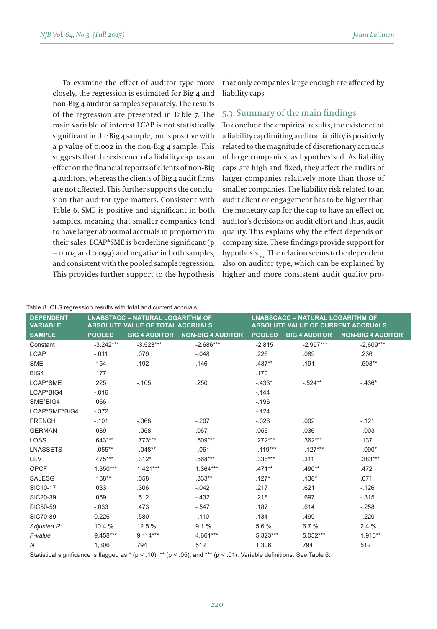To examine the effect of auditor type more closely, the regression is estimated for Big 4 and non-Big 4 auditor samples separately. The results of the regression are presented in Table 7. The main variable of interest LCAP is not statistically significant in the Big 4 sample, but is positive with a p value of 0.002 in the non-Big 4 sample. This suggests that the existence of a liability cap has an effect on the financial reports of clients of non-Big 4 auditors, whereas the clients of Big 4 audit firms are not affected. This further supports the conclusion that auditor type matters. Consistent with Table 6, SME is positive and significant in both samples, meaning that smaller companies tend to have larger abnormal accruals in proportion to their sales. LCAP\*SME is borderline significant (p = 0.104 and 0.099) and negative in both samples, and consistent with the pooled sample regression. This provides further support to the hypothesis that only companies large enough are affected by liability caps.

#### 5.3. Summary of the main findings

To conclude the empirical results, the existence of a liability cap limiting auditor liability is positively related to the magnitude of discretionary accruals of large companies, as hypothesised. As liability caps are high and fixed, they affect the audits of larger companies relatively more than those of smaller companies. The liability risk related to an audit client or engagement has to be higher than the monetary cap for the cap to have an effect on auditor's decisions on audit effort and thus, audit quality. This explains why the effect depends on company size. These findings provide support for hypothesis  $H_{\rm H}$ . The relation seems to be dependent also on auditor type, which can be explained by higher and more consistent audit quality pro-

| <b>DEPENDENT</b><br><b>VARIABLE</b> |               | <b>LNABSTACC = NATURAL LOGARITHM OF</b><br><b>ABSOLUTE VALUE OF TOTAL ACCRUALS</b> |                          |               | <b>LNABSCACC = NATURAL LOGARITHM OF</b><br><b>ABSOLUTE VALUE OF CURRENT ACCRUALS</b> |                          |
|-------------------------------------|---------------|------------------------------------------------------------------------------------|--------------------------|---------------|--------------------------------------------------------------------------------------|--------------------------|
| <b>SAMPLE</b>                       | <b>POOLED</b> | <b>BIG 4 AUDITOR</b>                                                               | <b>NON-BIG 4 AUDITOR</b> | <b>POOLED</b> | <b>BIG 4 AUDITOR</b>                                                                 | <b>NON-BIG 4 AUDITOR</b> |
| Constant                            | $-3.242***$   | $-3.523***$                                                                        | $-2.686***$              | $-2,815$      | $-2.997***$                                                                          | $-2,609***$              |
| <b>LCAP</b>                         | $-.011$       | .079                                                                               | $-.048$                  | .226          | .089                                                                                 | .236                     |
| <b>SME</b>                          | .154          | .192                                                                               | .146                     | $.437**$      | .191                                                                                 | $.503**$                 |
| BIG4                                | .177          |                                                                                    |                          | .170          |                                                                                      |                          |
| LCAP*SME                            | .225          | $-.105$                                                                            | .250                     | $-.433*$      | $-.524**$                                                                            | $-.436*$                 |
| LCAP*BIG4                           | $-.016$       |                                                                                    |                          | $-144$        |                                                                                      |                          |
| SME*BIG4                            | .066          |                                                                                    |                          | $-.196$       |                                                                                      |                          |
| LCAP*SME*BIG4                       | $-.372$       |                                                                                    |                          | $-.124$       |                                                                                      |                          |
| <b>FRENCH</b>                       | $-.101$       | $-.068$                                                                            | $-.207$                  | $-.026$       | .002                                                                                 | $-.121$                  |
| <b>GERMAN</b>                       | .089          | $-.058$                                                                            | .067                     | .056          | .036                                                                                 | $-.003$                  |
| LOSS                                | $.643***$     | .773***                                                                            | .509***                  | .272***       | $.362***$                                                                            | .137                     |
| <b>LNASSETS</b>                     | $-.055**$     | $-.048**$                                                                          | $-.061$                  | $-.119***$    | $-.127***$                                                                           | $-.090*$                 |
| LEV                                 | $.475***$     | $.312*$                                                                            | .568***                  | $.336***$     | .311                                                                                 | $.383***$                |
| <b>OPCF</b>                         | $1.350***$    | $1.421***$                                                                         | $1.364***$               | $.471**$      | .490**                                                                               | .472                     |
| <b>SALESG</b>                       | $.138**$      | .058                                                                               | $.333**$                 | $.127*$       | $.138*$                                                                              | .071                     |
| SIC10-17                            | .033          | .306                                                                               | $-.042$                  | .217          | .621                                                                                 | $-0.126$                 |
| SIC20-39                            | .059          | .512                                                                               | $-.432$                  | .218          | .697                                                                                 | $-.315$                  |
| SIC50-59                            | $-.033$       | .473                                                                               | $-547$                   | .187          | .614                                                                                 | $-.258$                  |
| SIC70-89                            | 0.226         | .580                                                                               | $-.110$                  | .134          | .499                                                                                 | $-.220$                  |
| Adjusted $R^2$                      | 10.4 %        | 12.5 %                                                                             | 9.1%                     | 5.6%          | 6.7%                                                                                 | 2.4%                     |
| F-value                             | 9.458***      | $9.114***$                                                                         | 4.661***                 | $5.323***$    | 5.052***                                                                             | $1.913**$                |
| Ν                                   | 1,306         | 794                                                                                | 512                      | 1,306         | 794                                                                                  | 512                      |

#### Table 8. OLS regression results with total and current accruals.

Statistical significance is flagged as  $*(p < .10)$ , \*\* ( $p < .05$ ), and \*\*\* ( $p < .01$ ). Variable definitions: See Table 6.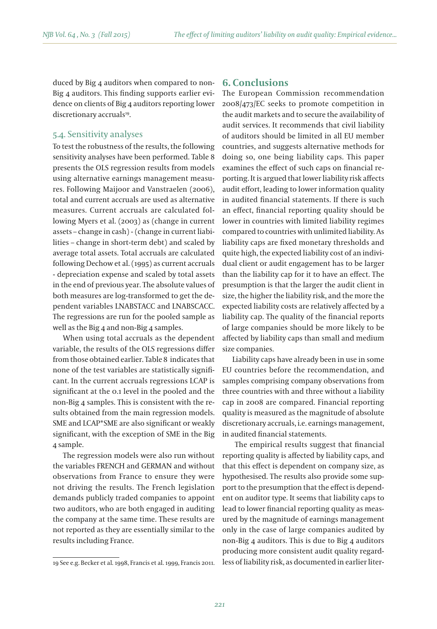duced by Big 4 auditors when compared to non-Big 4 auditors. This finding supports earlier evidence on clients of Big 4 auditors reporting lower discretionary accruals<sup>19</sup>.

#### 5.4. Sensitivity analyses

To test the robustness of the results, the following sensitivity analyses have been performed. Table 8 presents the OLS regression results from models using alternative earnings management measures. Following Maijoor and Vanstraelen (2006), total and current accruals are used as alternative measures. Current accruals are calculated following Myers et al. (2003) as (change in current assets – change in cash) - (change in current liabilities – change in short-term debt) and scaled by average total assets. Total accruals are calculated following Dechow et al. (1995) as current accruals - depreciation expense and scaled by total assets in the end of previous year. The absolute values of both measures are log-transformed to get the dependent variables LNABSTACC and LNABSCACC. The regressions are run for the pooled sample as well as the Big 4 and non-Big 4 samples.

When using total accruals as the dependent variable, the results of the OLS regressions differ from those obtained earlier. Table 8 indicates that none of the test variables are statistically significant. In the current accruals regressions LCAP is significant at the 0.1 level in the pooled and the non-Big 4 samples. This is consistent with the results obtained from the main regression models. SME and LCAP\*SME are also significant or weakly significant, with the exception of SME in the Big 4 sample.

The regression models were also run without the variables FRENCH and GERMAN and without observations from France to ensure they were not driving the results. The French legislation demands publicly traded companies to appoint two auditors, who are both engaged in auditing the company at the same time. These results are not reported as they are essentially similar to the results including France.

#### **6. Conclusions**

The European Commission recommendation 2008/473/EC seeks to promote competition in the audit markets and to secure the availability of audit services. It recommends that civil liability of auditors should be limited in all EU member countries, and suggests alternative methods for doing so, one being liability caps. This paper examines the effect of such caps on financial reporting. It is argued that lower liability risk affects audit effort, leading to lower information quality in audited financial statements. If there is such an effect, financial reporting quality should be lower in countries with limited liability regimes compared to countries with unlimited liability. As liability caps are fixed monetary thresholds and quite high, the expected liability cost of an individual client or audit engagement has to be larger than the liability cap for it to have an effect. The presumption is that the larger the audit client in size, the higher the liability risk, and the more the expected liability costs are relatively affected by a liability cap. The quality of the financial reports of large companies should be more likely to be affected by liability caps than small and medium size companies.

Liability caps have already been in use in some EU countries before the recommendation, and samples comprising company observations from three countries with and three without a liability cap in 2008 are compared. Financial reporting quality is measured as the magnitude of absolute discretionary accruals, i.e. earnings management, in audited financial statements.

 The empirical results suggest that financial reporting quality is affected by liability caps, and that this effect is dependent on company size, as hypothesised. The results also provide some support to the presumption that the effect is dependent on auditor type. It seems that liability caps to lead to lower financial reporting quality as measured by the magnitude of earnings management only in the case of large companies audited by non-Big 4 auditors. This is due to Big 4 auditors producing more consistent audit quality regard-19 See e.g. Becker et al. 1998, Francis et al. 1999, Francis 2011. less of liability risk, as documented in earlier liter-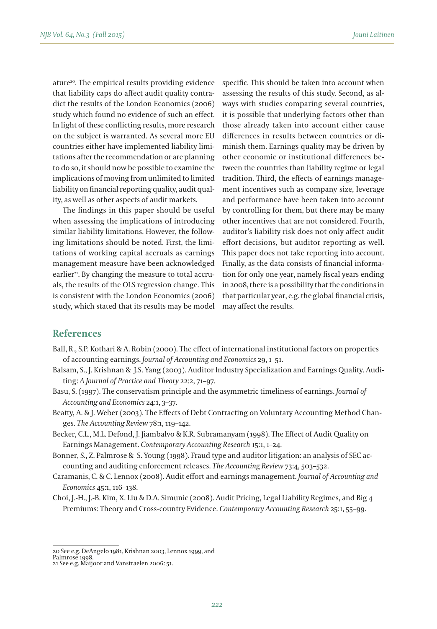ature20. The empirical results providing evidence that liability caps do affect audit quality contradict the results of the London Economics (2006) study which found no evidence of such an effect. In light of these conflicting results, more research on the subject is warranted. As several more EU countries either have implemented liability limitations after the recommendation or are planning to do so, it should now be possible to examine the implications of moving from unlimited to limited liability on financial reporting quality, audit quality, as well as other aspects of audit markets.

The findings in this paper should be useful when assessing the implications of introducing similar liability limitations. However, the following limitations should be noted. First, the limitations of working capital accruals as earnings management measure have been acknowledged earlier<sup>21</sup>. By changing the measure to total accruals, the results of the OLS regression change. This is consistent with the London Economics (2006) study, which stated that its results may be model specific. This should be taken into account when assessing the results of this study. Second, as always with studies comparing several countries, it is possible that underlying factors other than those already taken into account either cause differences in results between countries or diminish them. Earnings quality may be driven by other economic or institutional differences between the countries than liability regime or legal tradition. Third, the effects of earnings management incentives such as company size, leverage and performance have been taken into account by controlling for them, but there may be many other incentives that are not considered. Fourth, auditor's liability risk does not only affect audit effort decisions, but auditor reporting as well. This paper does not take reporting into account. Finally, as the data consists of financial information for only one year, namely fiscal years ending in 2008, there is a possibility that the conditions in that particular year, e.g. the global financial crisis, may affect the results.

## **References**

- Ball, R., S.P. Kothari & A. Robin (2000). The effect of international institutional factors on properties of accounting earnings. *Journal of Accounting and Economics* 29, 1–51.
- Balsam, S., J. Krishnan & J.S. Yang (2003). Auditor Industry Specialization and Earnings Quality. Auditing: *A Journal of Practice and Theory* 22:2, 71–97.
- Basu, S. (1997). The conservatism principle and the asymmetric timeliness of earnings. *Journal of Accounting and Economics* 24:1, 3–37.
- Beatty, A. & J. Weber (2003). The Effects of Debt Contracting on Voluntary Accounting Method Changes. *The Accounting Review* 78:1, 119–142.
- Becker, C.L., M.L. Defond, J. Jiambalvo & K.R. Subramanyam (1998). The Effect of Audit Quality on Earnings Management. *Contemporary Accounting Research* 15:1, 1–24.
- Bonner, S., Z. Palmrose & S. Young (1998). Fraud type and auditor litigation: an analysis of SEC accounting and auditing enforcement releases. *The Accounting Review* 73:4, 503–532.
- Caramanis, C. & C. Lennox (2008). Audit effort and earnings management. *Journal of Accounting and Economics* 45:1, 116–138.
- Choi, J.-H., J.-B. Kim, X. Liu & D.A. Simunic (2008). Audit Pricing, Legal Liability Regimes, and Big 4 Premiums: Theory and Cross-country Evidence. *Contemporary Accounting Research* 25:1, 55–99.

<sup>20</sup> See e.g. DeAngelo 1981, Krishnan 2003, Lennox 1999, and

Palmrose 1998.

<sup>21</sup> See e.g. Maijoor and Vanstraelen 2006: 51.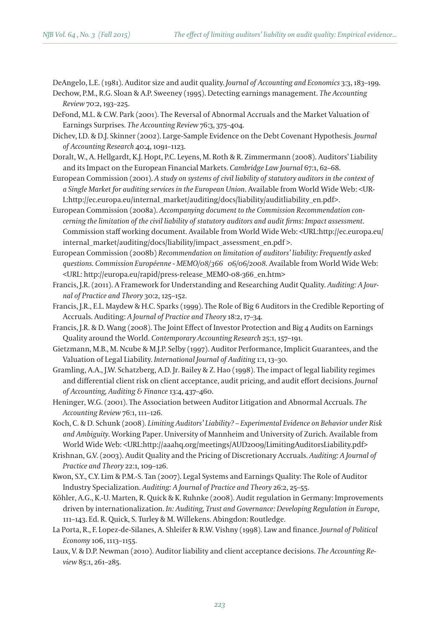DeAngelo, L.E. (1981). Auditor size and audit quality. *Journal of Accounting and Economics* 3:3, 183–199.

- Dechow, P.M., R.G. Sloan & A.P. Sweeney (1995). Detecting earnings management. *The Accounting Review* 70:2, 193–225.
- DeFond, M.L. & C.W. Park (2001). The Reversal of Abnormal Accruals and the Market Valuation of Earnings Surprises. *The Accounting Review* 76:3, 375–404.
- Dichev, I.D. & D.J. Skinner (2002). Large-Sample Evidence on the Debt Covenant Hypothesis. *Journal of Accounting Research* 40:4, 1091–1123.
- Doralt, W., A. Hellgardt, K.J. Hopt, P.C. Leyens, M. Roth & R. Zimmermann (2008). Auditors' Liability and its Impact on the European Financial Markets. *Cambridge Law Journal* 67:1, 62–68.
- European Commission (2001). *A study on systems of civil liability of statutory auditors in the context of a Single Market for auditing services in the European Union*. Available from World Wide Web: <UR-L:http://ec.europa.eu/internal\_market/auditing/docs/liability/auditliability\_en.pdf>.
- European Commission (2008a). *Accompanying document to the Commission Recommendation concerning the limitation of the civil liability of statutory auditors and audit firms: Impact assessment*. Commission staff working document. Available from World Wide Web: <URL:http://ec.europa.eu/ internal\_market/auditing/docs/liability/impact\_assessment\_en.pdf >.
- European Commission (2008b) *Recommendation on limitation of auditors' liability: Frequently asked questions. Commission Européenne - MEMO/08/366 06/06/2008*. Available from World Wide Web: <URL: http://europa.eu/rapid/press-release\_MEMO-08-366\_en.htm>
- Francis, J.R. (2011). A Framework for Understanding and Researching Audit Quality. *Auditing: A Journal of Practice and Theory* 30:2, 125–152.
- Francis, J.R., E.L. Maydew & H.C. Sparks (1999). The Role of Big 6 Auditors in the Credible Reporting of Accruals. Auditing: *A Journal of Practice and Theory* 18:2, 17–34.
- Francis, J.R. & D. Wang (2008). The Joint Effect of Investor Protection and Big 4 Audits on Earnings Quality around the World. *Contemporary Accounting Research* 25:1, 157–191.
- Gietzmann, M.B., M. Ncube & M.J.P. Selby (1997). Auditor Performance, Implicit Guarantees, and the Valuation of Legal Liability. *International Journal of Auditing* 1:1, 13–30.
- Gramling, A.A., J.W. Schatzberg, A.D. Jr. Bailey & Z. Hao (1998). The impact of legal liability regimes and differential client risk on client acceptance, audit pricing, and audit effort decisions. *Journal of Accounting, Auditing & Finance* 13:4, 437–460.
- Heninger, W.G. (2001). The Association between Auditor Litigation and Abnormal Accruals. *The Accounting Review* 76:1, 111–126.
- Koch, C. & D. Schunk (2008). *Limiting Auditors' Liability? Experimental Evidence on Behavior under Risk and Ambiguity*. Working Paper. University of Mannheim and University of Zurich. Available from World Wide Web: <URL:http://aaahq.org/meetings/AUD2009/LimitingAuditorsLiability.pdf>
- Krishnan, G.V. (2003). Audit Quality and the Pricing of Discretionary Accruals. *Auditing: A Journal of Practice and Theory* 22:1, 109–126.
- Kwon, S.Y., C.Y. Lim & P.M.-S. Tan (2007). Legal Systems and Earnings Quality: The Role of Auditor Industry Specialization. *Auditing: A Journal of Practice and Theory* 26:2, 25–55.
- Köhler, A.G., K.-U. Marten, R. Quick & K. Ruhnke (2008). Audit regulation in Germany: Improvements driven by internationalization. *In: Auditing, Trust and Governance: Developing Regulation in Europe*, 111–143. Ed. R. Quick, S. Turley & M. Willekens. Abingdon: Routledge.
- La Porta, R., F. Lopez-de-Silanes, A. Shleifer & R.W. Vishny (1998). Law and finance. *Journal of Political Economy* 106, 1113–1155.
- Laux, V. & D.P. Newman (2010). Auditor liability and client acceptance decisions. *The Accounting Review* 85:1, 261–285.